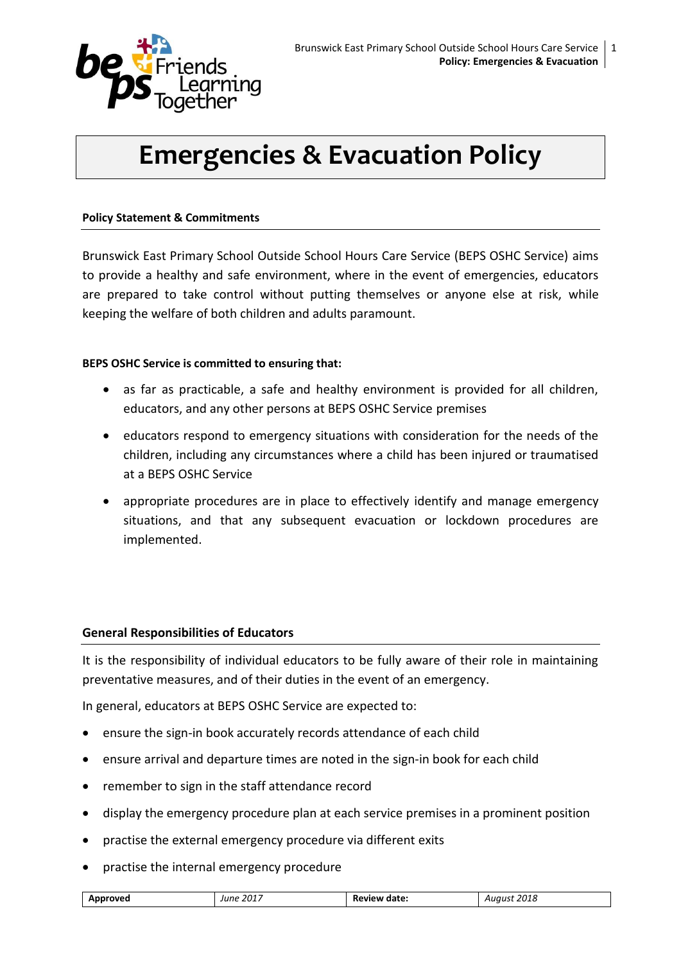

# **Emergencies & Evacuation Policy**

#### **Policy Statement & Commitments**

Brunswick East Primary School Outside School Hours Care Service (BEPS OSHC Service) aims to provide a healthy and safe environment, where in the event of emergencies, educators are prepared to take control without putting themselves or anyone else at risk, while keeping the welfare of both children and adults paramount.

#### **BEPS OSHC Service is committed to ensuring that:**

- as far as practicable, a safe and healthy environment is provided for all children, educators, and any other persons at BEPS OSHC Service premises
- educators respond to emergency situations with consideration for the needs of the children, including any circumstances where a child has been injured or traumatised at a BEPS OSHC Service
- appropriate procedures are in place to effectively identify and manage emergency situations, and that any subsequent evacuation or lockdown procedures are implemented.

#### **General Responsibilities of Educators**

It is the responsibility of individual educators to be fully aware of their role in maintaining preventative measures, and of their duties in the event of an emergency.

In general, educators at BEPS OSHC Service are expected to:

- ensure the sign-in book accurately records attendance of each child
- ensure arrival and departure times are noted in the sign-in book for each child
- remember to sign in the staff attendance record
- display the emergency procedure plan at each service premises in a prominent position
- practise the external emergency procedure via different exits
- practise the internal emergency procedure

| . 2017 $\overline{a}$<br>Annroved<br>date.<br>'aust<br>June<br>Annr<br>. עופ<br>∍vır<br>zula<br>n.<br>$\mathbf{u}$<br>__<br>. |
|-------------------------------------------------------------------------------------------------------------------------------|
|-------------------------------------------------------------------------------------------------------------------------------|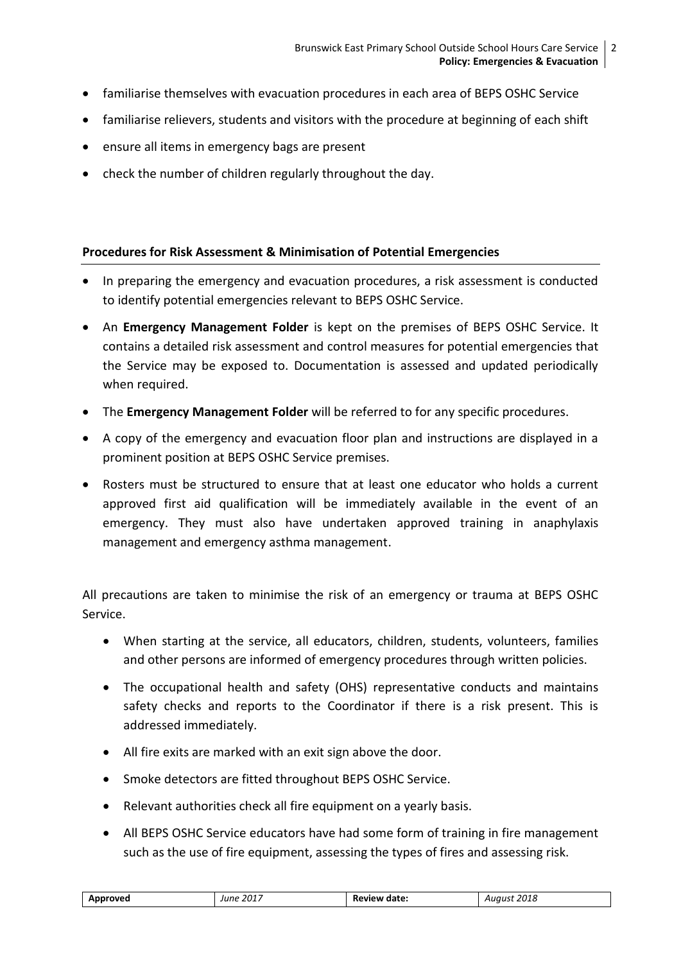- familiarise themselves with evacuation procedures in each area of BEPS OSHC Service
- familiarise relievers, students and visitors with the procedure at beginning of each shift
- ensure all items in emergency bags are present
- check the number of children regularly throughout the day.

### **Procedures for Risk Assessment & Minimisation of Potential Emergencies**

- In preparing the emergency and evacuation procedures, a risk assessment is conducted to identify potential emergencies relevant to BEPS OSHC Service.
- An **Emergency Management Folder** is kept on the premises of BEPS OSHC Service. It contains a detailed risk assessment and control measures for potential emergencies that the Service may be exposed to. Documentation is assessed and updated periodically when required.
- The **Emergency Management Folder** will be referred to for any specific procedures.
- A copy of the emergency and evacuation floor plan and instructions are displayed in a prominent position at BEPS OSHC Service premises.
- Rosters must be structured to ensure that at least one educator who holds a current approved first aid qualification will be immediately available in the event of an emergency. They must also have undertaken approved training in anaphylaxis management and emergency asthma management.

All precautions are taken to minimise the risk of an emergency or trauma at BEPS OSHC Service.

- When starting at the service, all educators, children, students, volunteers, families and other persons are informed of emergency procedures through written policies.
- The occupational health and safety (OHS) representative conducts and maintains safety checks and reports to the Coordinator if there is a risk present. This is addressed immediately.
- All fire exits are marked with an exit sign above the door.
- Smoke detectors are fitted throughout BEPS OSHC Service.
- Relevant authorities check all fire equipment on a yearly basis.
- All BEPS OSHC Service educators have had some form of training in fire management such as the use of fire equipment, assessing the types of fires and assessing risk.

| 2017     | date  | 2018         |
|----------|-------|--------------|
| Approved | :view | ------       |
| June     | nı    | $\mathbf{z}$ |
| ____     | .     | ___          |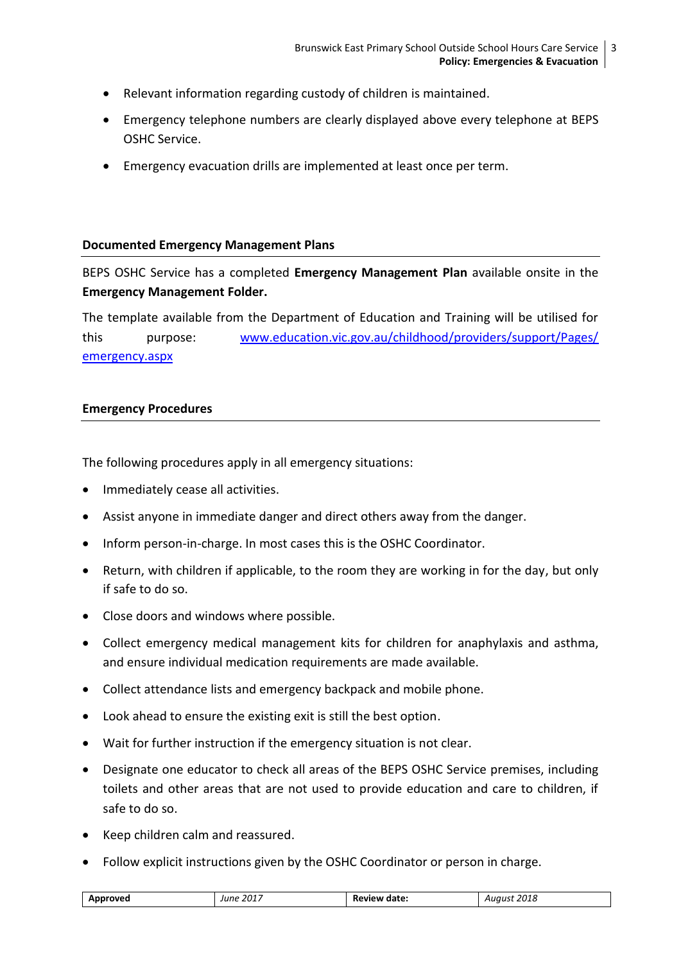- Relevant information regarding custody of children is maintained.
- Emergency telephone numbers are clearly displayed above every telephone at BEPS OSHC Service.
- Emergency evacuation drills are implemented at least once per term.

#### **Documented Emergency Management Plans**

BEPS OSHC Service has a completed **Emergency Management Plan** available onsite in the **Emergency Management Folder.**

The template available from the Department of Education and Training will be utilised for this purpose: [www.education.vic.gov.au/childhood/providers/support/Pages/](http://www.education.vic.gov.au/childhood/providers/support/Pages/emergency.aspx) [emergency.aspx](http://www.education.vic.gov.au/childhood/providers/support/Pages/emergency.aspx)

#### **Emergency Procedures**

The following procedures apply in all emergency situations:

- Immediately cease all activities.
- Assist anyone in immediate danger and direct others away from the danger.
- Inform person-in-charge. In most cases this is the OSHC Coordinator.
- Return, with children if applicable, to the room they are working in for the day, but only if safe to do so.
- Close doors and windows where possible.
- Collect emergency medical management kits for children for anaphylaxis and asthma, and ensure individual medication requirements are made available.
- Collect attendance lists and emergency backpack and mobile phone.
- Look ahead to ensure the existing exit is still the best option.
- Wait for further instruction if the emergency situation is not clear.
- Designate one educator to check all areas of the BEPS OSHC Service premises, including toilets and other areas that are not used to provide education and care to children, if safe to do so.
- Keep children calm and reassured.
- Follow explicit instructions given by the OSHC Coordinator or person in charge.

| 2017<br>วกาย<br>-<br>date.<br>arover<br>zula<br>___<br>__ |
|-----------------------------------------------------------|
|-----------------------------------------------------------|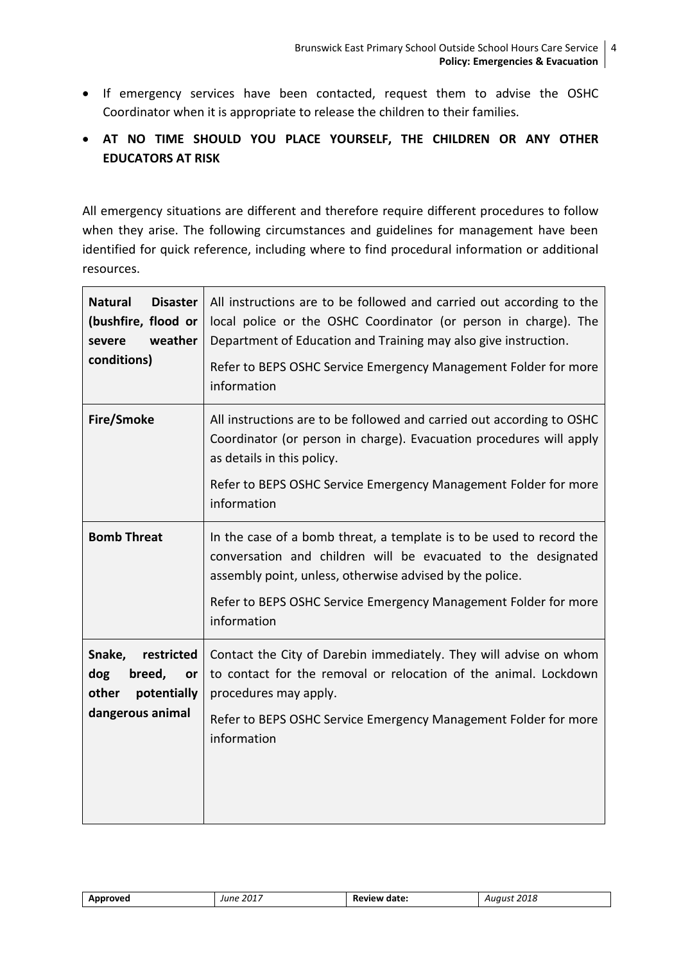If emergency services have been contacted, request them to advise the OSHC Coordinator when it is appropriate to release the children to their families.

# **AT NO TIME SHOULD YOU PLACE YOURSELF, THE CHILDREN OR ANY OTHER EDUCATORS AT RISK**

All emergency situations are different and therefore require different procedures to follow when they arise. The following circumstances and guidelines for management have been identified for quick reference, including where to find procedural information or additional resources.

| <b>Natural</b><br><b>Disaster</b><br>(bushfire, flood or<br>weather<br>severe<br>conditions) | All instructions are to be followed and carried out according to the<br>local police or the OSHC Coordinator (or person in charge). The<br>Department of Education and Training may also give instruction.<br>Refer to BEPS OSHC Service Emergency Management Folder for more<br>information |
|----------------------------------------------------------------------------------------------|----------------------------------------------------------------------------------------------------------------------------------------------------------------------------------------------------------------------------------------------------------------------------------------------|
| <b>Fire/Smoke</b>                                                                            | All instructions are to be followed and carried out according to OSHC<br>Coordinator (or person in charge). Evacuation procedures will apply<br>as details in this policy.<br>Refer to BEPS OSHC Service Emergency Management Folder for more<br>information                                 |
| <b>Bomb Threat</b>                                                                           | In the case of a bomb threat, a template is to be used to record the<br>conversation and children will be evacuated to the designated<br>assembly point, unless, otherwise advised by the police.<br>Refer to BEPS OSHC Service Emergency Management Folder for more<br>information          |
| Snake,<br>restricted<br>dog<br>breed,<br>or<br>other<br>potentially<br>dangerous animal      | Contact the City of Darebin immediately. They will advise on whom<br>to contact for the removal or relocation of the animal. Lockdown<br>procedures may apply.<br>Refer to BEPS OSHC Service Emergency Management Folder for more<br>information                                             |

| Approved | June 2017 | Review date: | 2018<br>Auaust |
|----------|-----------|--------------|----------------|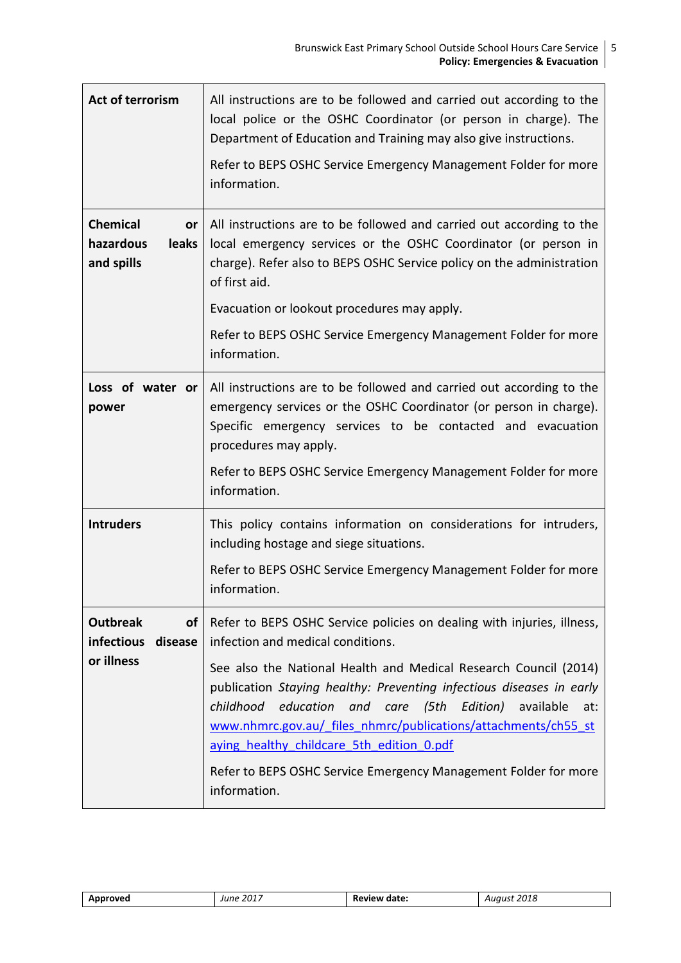| Act of terrorism                                          | All instructions are to be followed and carried out according to the<br>local police or the OSHC Coordinator (or person in charge). The<br>Department of Education and Training may also give instructions.<br>Refer to BEPS OSHC Service Emergency Management Folder for more<br>information.                                                                                                                        |
|-----------------------------------------------------------|-----------------------------------------------------------------------------------------------------------------------------------------------------------------------------------------------------------------------------------------------------------------------------------------------------------------------------------------------------------------------------------------------------------------------|
| <b>Chemical</b><br>or<br>hazardous<br>leaks<br>and spills | All instructions are to be followed and carried out according to the<br>local emergency services or the OSHC Coordinator (or person in<br>charge). Refer also to BEPS OSHC Service policy on the administration<br>of first aid.                                                                                                                                                                                      |
|                                                           | Evacuation or lookout procedures may apply.                                                                                                                                                                                                                                                                                                                                                                           |
|                                                           | Refer to BEPS OSHC Service Emergency Management Folder for more<br>information.                                                                                                                                                                                                                                                                                                                                       |
| Loss of water or<br>power                                 | All instructions are to be followed and carried out according to the<br>emergency services or the OSHC Coordinator (or person in charge).<br>Specific emergency services to be contacted and evacuation<br>procedures may apply.<br>Refer to BEPS OSHC Service Emergency Management Folder for more                                                                                                                   |
|                                                           | information.                                                                                                                                                                                                                                                                                                                                                                                                          |
| <b>Intruders</b>                                          | This policy contains information on considerations for intruders,<br>including hostage and siege situations.                                                                                                                                                                                                                                                                                                          |
|                                                           | Refer to BEPS OSHC Service Emergency Management Folder for more<br>information.                                                                                                                                                                                                                                                                                                                                       |
| <b>Outbreak</b><br><b>of</b><br>infectious<br>disease     | Refer to BEPS OSHC Service policies on dealing with injuries, illness,<br>infection and medical conditions.                                                                                                                                                                                                                                                                                                           |
| or illness                                                | See also the National Health and Medical Research Council (2014)<br>publication Staying healthy: Preventing infectious diseases in early<br>childhood<br>education<br>and care (5th<br>Edition)<br>available<br>at:<br>www.nhmrc.gov.au/ files nhmrc/publications/attachments/ch55 st<br>aying healthy childcare 5th edition 0.pdf<br>Refer to BEPS OSHC Service Emergency Management Folder for more<br>information. |

| oved<br>ΗW<br>. . <del>.</del> . | $-201^-$<br>lune | $\sim$<br>date:<br>πъ.<br>.<br>_____ | ) ∩ 1 G<br>U18<br>$\sim$<br>___ |
|----------------------------------|------------------|--------------------------------------|---------------------------------|
|                                  |                  |                                      |                                 |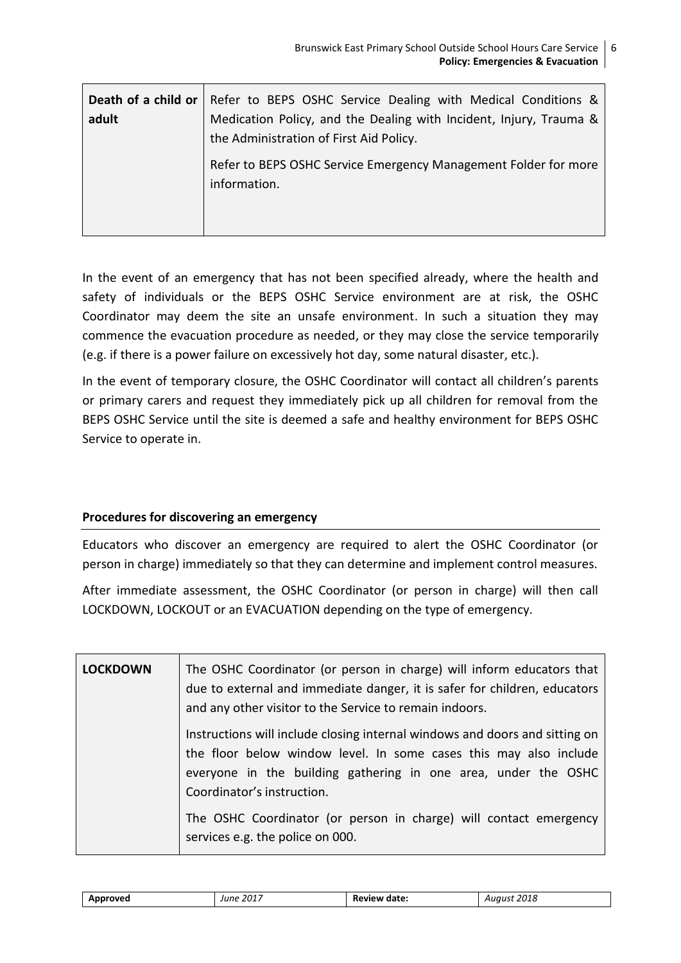| adult | <b>Death of a child or</b>   Refer to BEPS OSHC Service Dealing with Medical Conditions &<br>Medication Policy, and the Dealing with Incident, Injury, Trauma &<br>the Administration of First Aid Policy. |
|-------|------------------------------------------------------------------------------------------------------------------------------------------------------------------------------------------------------------|
|       | Refer to BEPS OSHC Service Emergency Management Folder for more<br>information.                                                                                                                            |

In the event of an emergency that has not been specified already, where the health and safety of individuals or the BEPS OSHC Service environment are at risk, the OSHC Coordinator may deem the site an unsafe environment. In such a situation they may commence the evacuation procedure as needed, or they may close the service temporarily (e.g. if there is a power failure on excessively hot day, some natural disaster, etc.).

In the event of temporary closure, the OSHC Coordinator will contact all children's parents or primary carers and request they immediately pick up all children for removal from the BEPS OSHC Service until the site is deemed a safe and healthy environment for BEPS OSHC Service to operate in.

## **Procedures for discovering an emergency**

Educators who discover an emergency are required to alert the OSHC Coordinator (or person in charge) immediately so that they can determine and implement control measures.

After immediate assessment, the OSHC Coordinator (or person in charge) will then call LOCKDOWN, LOCKOUT or an EVACUATION depending on the type of emergency.

| <b>LOCKDOWN</b> | The OSHC Coordinator (or person in charge) will inform educators that<br>due to external and immediate danger, it is safer for children, educators<br>and any other visitor to the Service to remain indoors.                                    |
|-----------------|--------------------------------------------------------------------------------------------------------------------------------------------------------------------------------------------------------------------------------------------------|
|                 | Instructions will include closing internal windows and doors and sitting on<br>the floor below window level. In some cases this may also include<br>everyone in the building gathering in one area, under the OSHC<br>Coordinator's instruction. |
|                 | The OSHC Coordinator (or person in charge) will contact emergency<br>services e.g. the police on 000.                                                                                                                                            |

| Approved | June 2017 | <b>Review date:</b> | August 2018 |
|----------|-----------|---------------------|-------------|
|          |           |                     |             |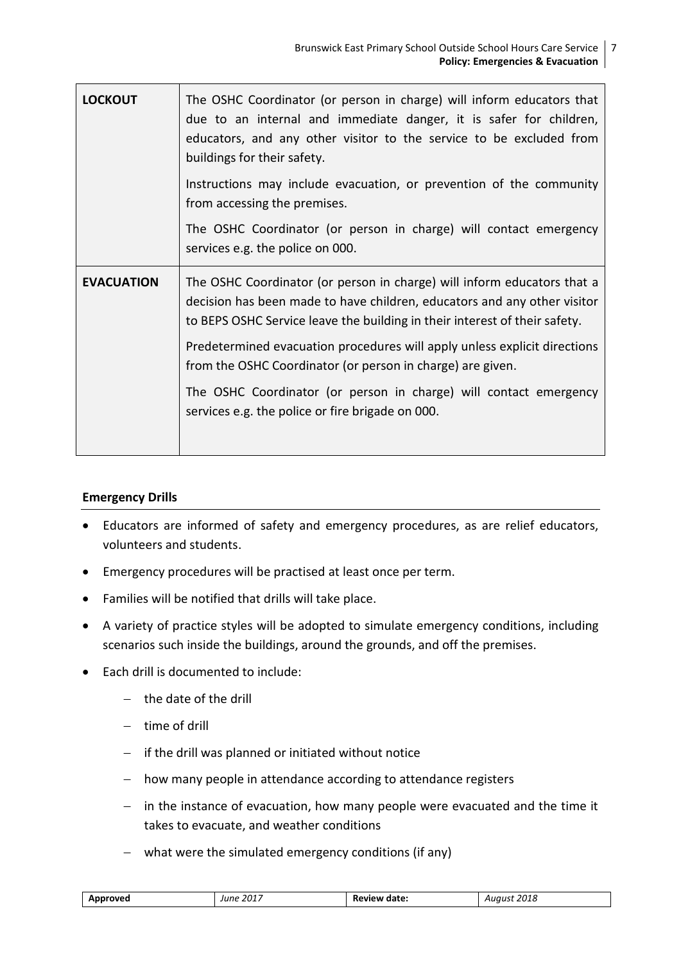| <b>LOCKOUT</b>    | The OSHC Coordinator (or person in charge) will inform educators that<br>due to an internal and immediate danger, it is safer for children,<br>educators, and any other visitor to the service to be excluded from<br>buildings for their safety. |
|-------------------|---------------------------------------------------------------------------------------------------------------------------------------------------------------------------------------------------------------------------------------------------|
|                   | Instructions may include evacuation, or prevention of the community<br>from accessing the premises.                                                                                                                                               |
|                   | The OSHC Coordinator (or person in charge) will contact emergency<br>services e.g. the police on 000.                                                                                                                                             |
| <b>EVACUATION</b> | The OSHC Coordinator (or person in charge) will inform educators that a<br>decision has been made to have children, educators and any other visitor<br>to BEPS OSHC Service leave the building in their interest of their safety.                 |
|                   | Predetermined evacuation procedures will apply unless explicit directions<br>from the OSHC Coordinator (or person in charge) are given.                                                                                                           |
|                   | The OSHC Coordinator (or person in charge) will contact emergency<br>services e.g. the police or fire brigade on 000.                                                                                                                             |

#### **Emergency Drills**

- Educators are informed of safety and emergency procedures, as are relief educators, volunteers and students.
- Emergency procedures will be practised at least once per term.
- Families will be notified that drills will take place.
- A variety of practice styles will be adopted to simulate emergency conditions, including scenarios such inside the buildings, around the grounds, and off the premises.
- Each drill is documented to include:
	- $-$  the date of the drill
	- $-$  time of drill
	- $-$  if the drill was planned or initiated without notice
	- how many people in attendance according to attendance registers
	- $-$  in the instance of evacuation, how many people were evacuated and the time it takes to evacuate, and weather conditions
	- what were the simulated emergency conditions (if any)

| 2017<br>م م<br>ate.<br>'''<br>,,,,,,<br>udlt.<br>uru<br><b></b> .<br>- - -<br>___<br>__ |
|-----------------------------------------------------------------------------------------|
|-----------------------------------------------------------------------------------------|